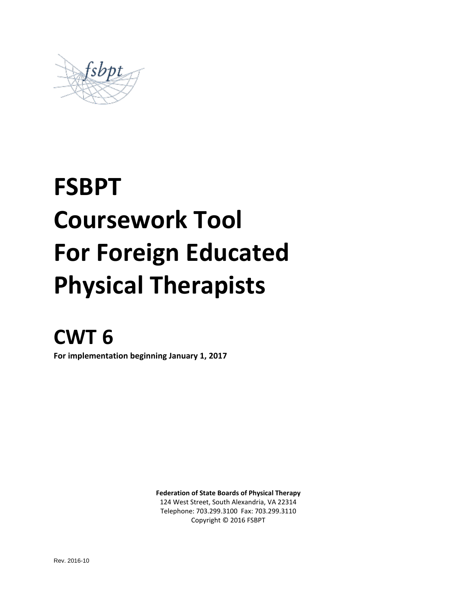

# **FSBPT Coursework Tool For Foreign Educated Physical Therapists**

## **CWT 6**

**For implementation beginning January 1, 2017**

**Federation of State Boards of Physical Therapy**

124 West Street, South Alexandria, VA 22314 Telephone: 703.299.3100 Fax: 703.299.3110 Copyright © 2016 FSBPT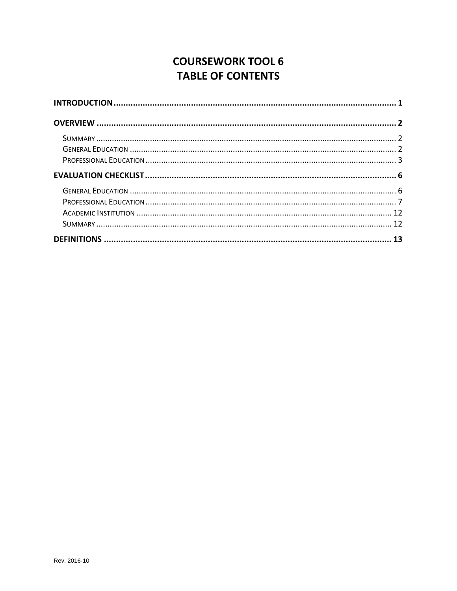## **COURSEWORK TOOL 6 TABLE OF CONTENTS**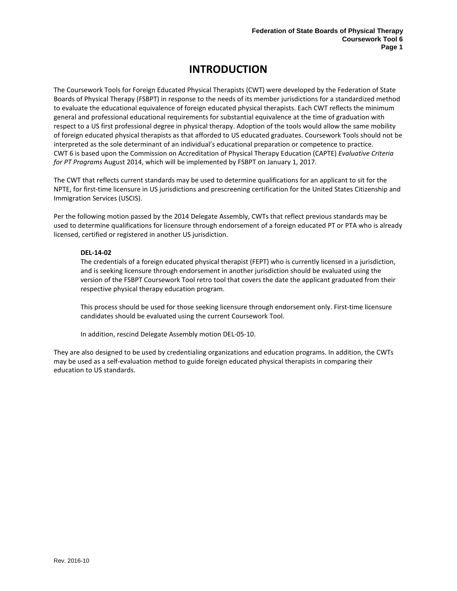## **INTRODUCTION**

<span id="page-2-0"></span>The Coursework Tools for Foreign Educated Physical Therapists (CWT) were developed by the Federation of State Boards of Physical Therapy (FSBPT) in response to the needs of its member jurisdictions for a standardized method to evaluate the educational equivalence of foreign educated physical therapists. Each CWT reflects the minimum general and professional educational requirements for substantial equivalence at the time of graduation with respect to a US first professional degree in physical therapy. Adoption of the tools would allow the same mobility of foreign educated physical therapists as that afforded to US educated graduates. Coursework Tools should not be interpreted as the sole determinant of an individual's educational preparation or competence to practice. CWT 6 is based upon the Commission on Accreditation of Physical Therapy Education (CAPTE) *Evaluative Criteria for PT Programs* August 2014, which will be implemented by FSBPT on January 1, 2017.

The CWT that reflects current standards may be used to determine qualifications for an applicant to sit for the NPTE, for first-time licensure in US jurisdictions and prescreening certification for the United States Citizenship and Immigration Services (USCIS).

Per the following motion passed by the 2014 Delegate Assembly, CWTs that reflect previous standards may be used to determine qualifications for licensure through endorsement of a foreign educated PT or PTA who is already licensed, certified or registered in another US jurisdiction.

#### **DEL-14-02**

The credentials of a foreign educated physical therapist (FEPT) who is currently licensed in a jurisdiction, and is seeking licensure through endorsement in another jurisdiction should be evaluated using the version of the FSBPT Coursework Tool retro tool that covers the date the applicant graduated from their respective physical therapy education program.

This process should be used for those seeking licensure through endorsement only. First-time licensure candidates should be evaluated using the current Coursework Tool.

In addition, rescind Delegate Assembly motion DEL-05-10.

They are also designed to be used by credentialing organizations and education programs. In addition, the CWTs may be used as a self-evaluation method to guide foreign educated physical therapists in comparing their education to US standards.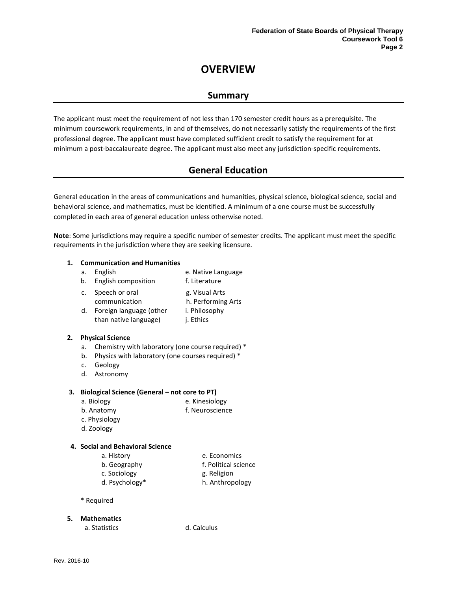## **OVERVIEW**

### **Summary**

<span id="page-3-1"></span><span id="page-3-0"></span>The applicant must meet the requirement of not less than 170 semester credit hours as a prerequisite. The minimum coursework requirements, in and of themselves, do not necessarily satisfy the requirements of the first professional degree. The applicant must have completed sufficient credit to satisfy the requirement for at minimum a post-baccalaureate degree. The applicant must also meet any jurisdiction-specific requirements.

## **General Education**

<span id="page-3-2"></span>General education in the areas of communications and humanities, physical science, biological science, social and behavioral science, and mathematics, must be identified. A minimum of a one course must be successfully completed in each area of general education unless otherwise noted.

**Note**: Some jurisdictions may require a specific number of semester credits. The applicant must meet the specific requirements in the jurisdiction where they are seeking licensure.

#### **1. Communication and Humanities**

- a. English e. Native Language
- b. English composition f. Literature
- c. Speech or oral communication g. Visual Arts h. Performing Arts d. Foreign language (other than native language) i. Philosophy j. Ethics

#### **2. Physical Science**

- a. Chemistry with laboratory (one course required) \*
- b. Physics with laboratory (one courses required) \*
- c. Geology
- d. Astronomy

#### **3. Biological Science (General – not core to PT)**

- a. Biology e. Kinesiology
- b. Anatomy f. Neuroscience
- c. Physiology
- d. Zoology

#### **4. Social and Behavioral Science**

- a. History e. Economics
	- b. Geography f. Political science
	- c. Sociology g. Religion
- d. Psychology\* h. Anthropology

\* Required

#### **5. Mathematics**

a. Statistics d. Calculus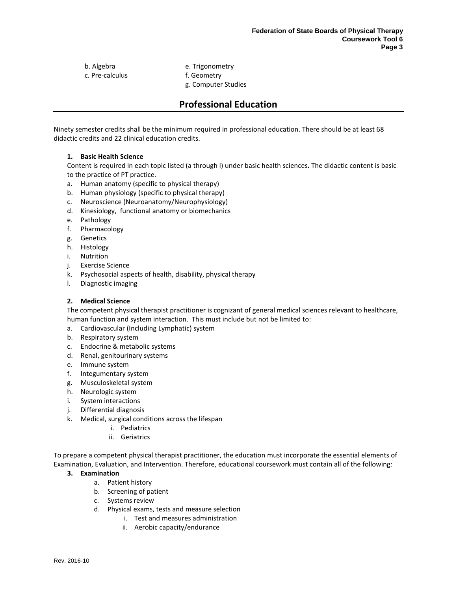c. Pre-calculus f. Geometry

b. Algebra e. Trigonometry g. Computer Studies

## **Professional Education**

<span id="page-4-0"></span>Ninety semester credits shall be the minimum required in professional education. There should be at least 68 didactic credits and 22 clinical education credits.

#### **1. Basic Health Science**

Content is required in each topic listed (a through l) under basic health sciences**.** The didactic content is basic to the practice of PT practice.

- a. Human anatomy (specific to physical therapy)
- b. Human physiology (specific to physical therapy)
- c. Neuroscience (Neuroanatomy/Neurophysiology)
- d. Kinesiology, functional anatomy or biomechanics
- e. Pathology
- f. Pharmacology
- g. Genetics
- h. Histology
- i. Nutrition
- j. Exercise Science
- k. Psychosocial aspects of health, disability, physical therapy
- l. Diagnostic imaging

#### **2. Medical Science**

The competent physical therapist practitioner is cognizant of general medical sciences relevant to healthcare, human function and system interaction. This must include but not be limited to:

- a. Cardiovascular (Including Lymphatic) system
- b. Respiratory system
- c. Endocrine & metabolic systems
- d. Renal, genitourinary systems
- e. Immune system
- f. Integumentary system
- g. Musculoskeletal system
- h. Neurologic system
- i. System interactions
- j. Differential diagnosis
- k. Medical, surgical conditions across the lifespan
	- i. Pediatrics
	- ii. Geriatrics

To prepare a competent physical therapist practitioner, the education must incorporate the essential elements of Examination, Evaluation, and Intervention. Therefore, educational coursework must contain all of the following:

#### **3. Examination**

- a. Patient history
- b. Screening of patient
- c. Systems review
- d. Physical exams, tests and measure selection
	- i. Test and measures administration
	- ii. Aerobic capacity/endurance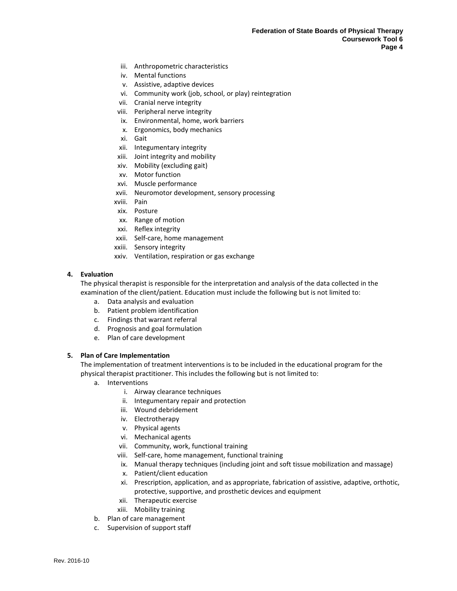- iii. Anthropometric characteristics
- iv. Mental functions
- v. Assistive, adaptive devices
- vi. Community work (job, school, or play) reintegration
- vii. Cranial nerve integrity
- viii. Peripheral nerve integrity
- ix. Environmental, home, work barriers
- x. Ergonomics, body mechanics
- xi. Gait
- xii. Integumentary integrity
- xiii. Joint integrity and mobility
- xiv. Mobility (excluding gait)
- xv. Motor function
- xvi. Muscle performance
- xvii. Neuromotor development, sensory processing
- xviii. Pain
- xix. Posture
- xx. Range of motion
- xxi. Reflex integrity
- xxii. Self-care, home management
- xxiii. Sensory integrity
- xxiv. Ventilation, respiration or gas exchange

#### **4. Evaluation**

The physical therapist is responsible for the interpretation and analysis of the data collected in the examination of the client/patient. Education must include the following but is not limited to:

- a. Data analysis and evaluation
- b. Patient problem identification
- c. Findings that warrant referral
- d. Prognosis and goal formulation
- e. Plan of care development

#### **5. Plan of Care Implementation**

The implementation of treatment interventions is to be included in the educational program for the physical therapist practitioner. This includes the following but is not limited to:

- a. Interventions
	- i. Airway clearance techniques
	- ii. Integumentary repair and protection
	- iii. Wound debridement
	- iv. Electrotherapy
	- v. Physical agents
	- vi. Mechanical agents
	- vii. Community, work, functional training
	- viii. Self-care, home management, functional training
	- ix. Manual therapy techniques (including joint and soft tissue mobilization and massage)
	- x. Patient/client education
	- xi. Prescription, application, and as appropriate, fabrication of assistive, adaptive, orthotic, protective, supportive, and prosthetic devices and equipment
	- xii. Therapeutic exercise
	- xiii. Mobility training
- b. Plan of care management
- c. Supervision of support staff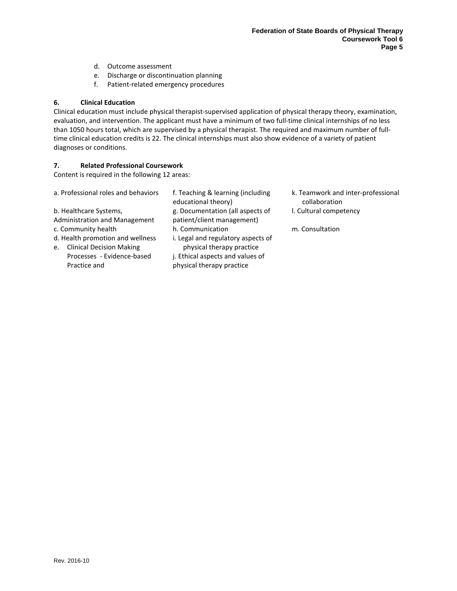- d. Outcome assessment
- e. Discharge or discontinuation planning
- f. Patient-related emergency procedures

#### **6. Clinical Education**

Clinical education must include physical therapist-supervised application of physical therapy theory, examination, evaluation, and intervention. The applicant must have a minimum of two full-time clinical internships of no less than 1050 hours total, which are supervised by a physical therapist. The required and maximum number of fulltime clinical education credits is 22. The clinical internships must also show evidence of a variety of patient diagnoses or conditions.

#### **7. Related Professional Coursework**

Content is required in the following 12 areas:

| a. Professional roles and behaviors | f. Teaching & learning (including<br>educational theory) | k. Teamwork and inter-professional<br>collaboration |
|-------------------------------------|----------------------------------------------------------|-----------------------------------------------------|
| b. Healthcare Systems,              | g. Documentation (all aspects of                         | I. Cultural competency                              |
| Administration and Management       | patient/client management)                               |                                                     |
| c. Community health                 | h. Communication                                         | m. Consultation                                     |
| d. Health promotion and wellness    | i. Legal and regulatory aspects of                       |                                                     |
| e. Clinical Decision Making         | physical therapy practice                                |                                                     |
| Processes - Evidence-based          | j. Ethical aspects and values of                         |                                                     |
| Practice and                        | physical therapy practice                                |                                                     |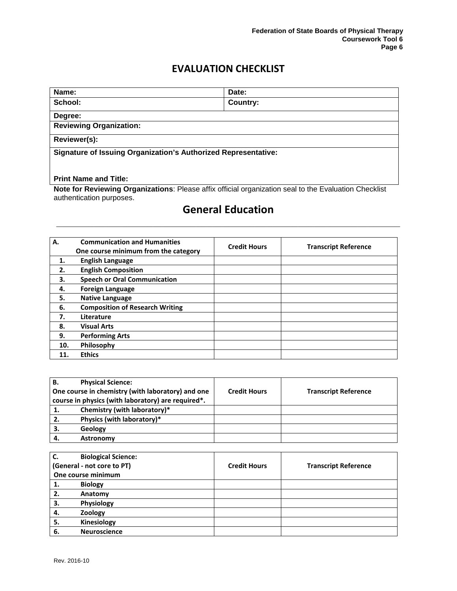## **EVALUATION CHECKLIST**

<span id="page-7-0"></span>

| Name:                                                                 | Date:    |  |  |
|-----------------------------------------------------------------------|----------|--|--|
| School:                                                               | Country: |  |  |
| Degree:                                                               |          |  |  |
| <b>Reviewing Organization:</b>                                        |          |  |  |
| Reviewer(s):                                                          |          |  |  |
| <b>Signature of Issuing Organization's Authorized Representative:</b> |          |  |  |
|                                                                       |          |  |  |
| <b>Print Name and Title:</b>                                          |          |  |  |

**Note for Reviewing Organizations**: Please affix official organization seal to the Evaluation Checklist authentication purposes.

## <span id="page-7-1"></span>**General Education \_\_\_\_\_\_\_\_\_\_\_\_\_\_\_\_\_\_\_\_\_\_\_\_\_\_\_\_\_\_\_\_\_\_\_\_\_\_\_\_\_\_\_\_\_\_\_\_\_\_\_\_\_\_\_\_\_\_\_\_\_\_\_\_**

| А.  | <b>Communication and Humanities</b><br>One course minimum from the category | <b>Credit Hours</b> | <b>Transcript Reference</b> |
|-----|-----------------------------------------------------------------------------|---------------------|-----------------------------|
| 1.  | <b>English Language</b>                                                     |                     |                             |
| 2.  | <b>English Composition</b>                                                  |                     |                             |
| З.  | <b>Speech or Oral Communication</b>                                         |                     |                             |
| 4.  | <b>Foreign Language</b>                                                     |                     |                             |
| 5.  | <b>Native Language</b>                                                      |                     |                             |
| 6.  | <b>Composition of Research Writing</b>                                      |                     |                             |
| 7.  | Literature                                                                  |                     |                             |
| 8.  | <b>Visual Arts</b>                                                          |                     |                             |
| 9.  | <b>Performing Arts</b>                                                      |                     |                             |
| 10. | Philosophy                                                                  |                     |                             |
|     | <b>Ethics</b>                                                               |                     |                             |

| В. | <b>Physical Science:</b>                           |                     |                             |
|----|----------------------------------------------------|---------------------|-----------------------------|
|    | One course in chemistry (with laboratory) and one  | <b>Credit Hours</b> | <b>Transcript Reference</b> |
|    | course in physics (with laboratory) are required*. |                     |                             |
| 1. | Chemistry (with laboratory)*                       |                     |                             |
| 2. | Physics (with laboratory)*                         |                     |                             |
| З. | Geology                                            |                     |                             |
|    | Astronomy                                          |                     |                             |

| C. | <b>Biological Science:</b> |                     |                             |
|----|----------------------------|---------------------|-----------------------------|
|    | (General - not core to PT) | <b>Credit Hours</b> | <b>Transcript Reference</b> |
|    | One course minimum         |                     |                             |
| 1. | <b>Biology</b>             |                     |                             |
| 2. | Anatomy                    |                     |                             |
| 3. | Physiology                 |                     |                             |
| 4. | Zoology                    |                     |                             |
| 5. | Kinesiology                |                     |                             |
| 6. | <b>Neuroscience</b>        |                     |                             |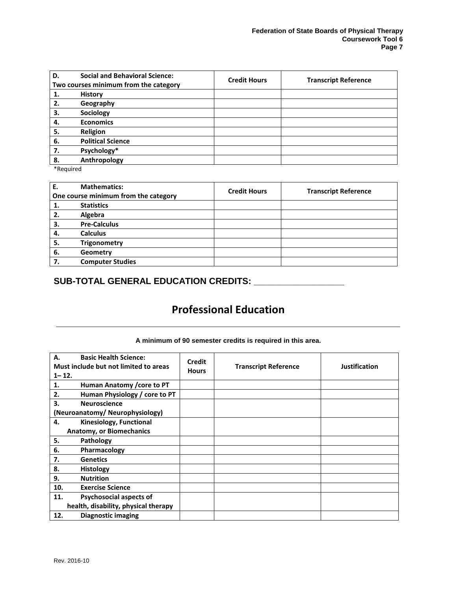| D. | <b>Social and Behavioral Science:</b><br>Two courses minimum from the category | <b>Credit Hours</b> | <b>Transcript Reference</b> |
|----|--------------------------------------------------------------------------------|---------------------|-----------------------------|
| 1. | <b>History</b>                                                                 |                     |                             |
| 2. | Geography                                                                      |                     |                             |
| 3. | Sociology                                                                      |                     |                             |
| 4. | <b>Economics</b>                                                               |                     |                             |
| 5. | Religion                                                                       |                     |                             |
| 6. | <b>Political Science</b>                                                       |                     |                             |
| 7. | Psychology*                                                                    |                     |                             |
| 8. | Anthropology                                                                   |                     |                             |

\*Required

| Ε.  | <b>Mathematics:</b>                  | <b>Credit Hours</b> | <b>Transcript Reference</b> |
|-----|--------------------------------------|---------------------|-----------------------------|
|     | One course minimum from the category |                     |                             |
| 1.  | <b>Statistics</b>                    |                     |                             |
| 2.  | Algebra                              |                     |                             |
| 3.  | <b>Pre-Calculus</b>                  |                     |                             |
| -4. | <b>Calculus</b>                      |                     |                             |
| 5.  | <b>Trigonometry</b>                  |                     |                             |
| 6.  | Geometry                             |                     |                             |
| 7.  | <b>Computer Studies</b>              |                     |                             |

## **SUB-TOTAL GENERAL EDUCATION CREDITS: \_\_\_\_\_\_\_\_\_\_\_\_\_\_\_\_\_\_**

## <span id="page-8-0"></span>**Professional Education \_\_\_\_\_\_\_\_\_\_\_\_\_\_\_\_\_\_\_\_\_\_\_\_\_\_\_\_\_\_\_\_\_\_\_\_\_\_\_\_\_\_\_\_\_\_\_\_\_\_\_\_\_\_\_\_\_\_\_\_\_\_\_\_**

| <b>Basic Health Science:</b><br>Α.<br>Must include but not limited to areas<br>$1 - 12.$ | <b>Credit</b><br><b>Hours</b> | <b>Transcript Reference</b> | <b>Justification</b> |
|------------------------------------------------------------------------------------------|-------------------------------|-----------------------------|----------------------|
| 1.<br>Human Anatomy / core to PT                                                         |                               |                             |                      |
| 2.<br>Human Physiology / core to PT                                                      |                               |                             |                      |
| 3.<br><b>Neuroscience</b>                                                                |                               |                             |                      |
| (Neuroanatomy/Neurophysiology)                                                           |                               |                             |                      |
| 4.<br>Kinesiology, Functional                                                            |                               |                             |                      |
| <b>Anatomy, or Biomechanics</b>                                                          |                               |                             |                      |
| 5.<br>Pathology                                                                          |                               |                             |                      |
| 6.<br>Pharmacology                                                                       |                               |                             |                      |
| 7.<br><b>Genetics</b>                                                                    |                               |                             |                      |
| 8.<br><b>Histology</b>                                                                   |                               |                             |                      |
| 9.<br><b>Nutrition</b>                                                                   |                               |                             |                      |
| 10.<br><b>Exercise Science</b>                                                           |                               |                             |                      |
| 11.<br>Psychosocial aspects of                                                           |                               |                             |                      |
| health, disability, physical therapy                                                     |                               |                             |                      |
| <b>Diagnostic imaging</b><br>12.                                                         |                               |                             |                      |

#### **A minimum of 90 semester credits is required in this area.**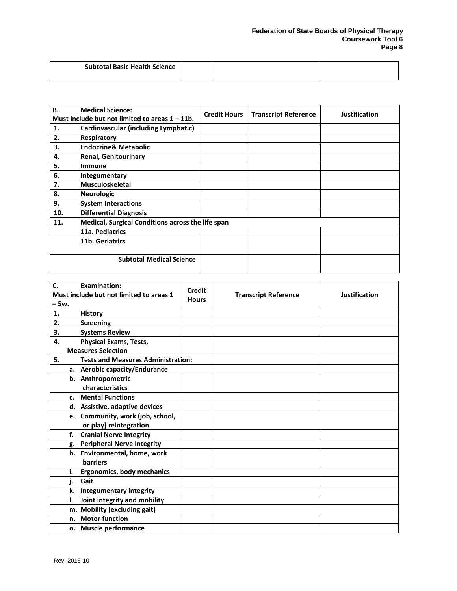| <b>Subtotal Basic Health Science</b> |  |  |
|--------------------------------------|--|--|
|                                      |  |  |

| <b>B.</b> | <b>Medical Science:</b>                           | <b>Credit Hours</b> | <b>Transcript Reference</b> | <b>Justification</b> |
|-----------|---------------------------------------------------|---------------------|-----------------------------|----------------------|
|           | Must include but not limited to areas $1 - 11b$ . |                     |                             |                      |
| 1.        | Cardiovascular (including Lymphatic)              |                     |                             |                      |
| 2.        | Respiratory                                       |                     |                             |                      |
| 3.        | <b>Endocrine&amp; Metabolic</b>                   |                     |                             |                      |
| 4.        | <b>Renal, Genitourinary</b>                       |                     |                             |                      |
| 5.        | <b>Immune</b>                                     |                     |                             |                      |
| 6.        | Integumentary                                     |                     |                             |                      |
| 7.        | <b>Musculoskeletal</b>                            |                     |                             |                      |
| 8.        | <b>Neurologic</b>                                 |                     |                             |                      |
| 9.        | <b>System Interactions</b>                        |                     |                             |                      |
| 10.       | <b>Differential Diagnosis</b>                     |                     |                             |                      |
| 11.       | Medical, Surgical Conditions across the life span |                     |                             |                      |
|           | 11a. Pediatrics                                   |                     |                             |                      |
|           | 11b. Geriatrics                                   |                     |                             |                      |
|           |                                                   |                     |                             |                      |
|           | <b>Subtotal Medical Science</b>                   |                     |                             |                      |

| $\mathbf{C}$ | <b>Examination:</b>                       | Credit       |                             |               |
|--------------|-------------------------------------------|--------------|-----------------------------|---------------|
|              | Must include but not limited to areas 1   | <b>Hours</b> | <b>Transcript Reference</b> | Justification |
| – 5w.        |                                           |              |                             |               |
| 1.           | <b>History</b>                            |              |                             |               |
| 2.           | <b>Screening</b>                          |              |                             |               |
| 3.           | <b>Systems Review</b>                     |              |                             |               |
| 4.           | <b>Physical Exams, Tests,</b>             |              |                             |               |
|              | <b>Measures Selection</b>                 |              |                             |               |
| 5.           | <b>Tests and Measures Administration:</b> |              |                             |               |
|              | a. Aerobic capacity/Endurance             |              |                             |               |
|              | b. Anthropometric                         |              |                             |               |
|              | characteristics                           |              |                             |               |
|              | c. Mental Functions                       |              |                             |               |
|              | d. Assistive, adaptive devices            |              |                             |               |
|              | e. Community, work (job, school,          |              |                             |               |
|              | or play) reintegration                    |              |                             |               |
| f.           | <b>Cranial Nerve Integrity</b>            |              |                             |               |
| g.           | <b>Peripheral Nerve Integrity</b>         |              |                             |               |
|              | h. Environmental, home, work              |              |                             |               |
|              | <b>barriers</b>                           |              |                             |               |
| i.           | <b>Ergonomics, body mechanics</b>         |              |                             |               |
| j.           | Gait                                      |              |                             |               |
| k.           | <b>Integumentary integrity</b>            |              |                             |               |
| I.           | Joint integrity and mobility              |              |                             |               |
| m.           | <b>Mobility (excluding gait)</b>          |              |                             |               |
| n.           | <b>Motor function</b>                     |              |                             |               |
|              | o. Muscle performance                     |              |                             |               |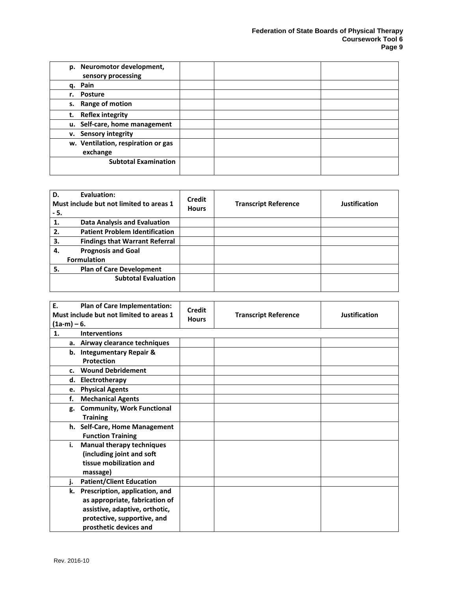| p. Neuromotor development,<br>sensory processing |  |
|--------------------------------------------------|--|
| q. Pain                                          |  |
| r. Posture                                       |  |
| s. Range of motion                               |  |
| <b>Reflex integrity</b><br>t.                    |  |
| u. Self-care, home management                    |  |
| <b>Sensory integrity</b><br>v.                   |  |
| w. Ventilation, respiration or gas<br>exchange   |  |
| <b>Subtotal Examination</b>                      |  |

| D.<br>Evaluation:<br>Must include but not limited to areas 1<br>- 5. | Credit<br><b>Hours</b> | <b>Transcript Reference</b> | <b>Justification</b> |
|----------------------------------------------------------------------|------------------------|-----------------------------|----------------------|
| <b>Data Analysis and Evaluation</b><br>1.                            |                        |                             |                      |
| <b>Patient Problem Identification</b><br>2.                          |                        |                             |                      |
| <b>Findings that Warrant Referral</b><br>3.                          |                        |                             |                      |
| <b>Prognosis and Goal</b><br>4.                                      |                        |                             |                      |
| <b>Formulation</b>                                                   |                        |                             |                      |
| 5.<br><b>Plan of Care Development</b>                                |                        |                             |                      |
| <b>Subtotal Evaluation</b>                                           |                        |                             |                      |

| E.<br>Plan of Care Implementation:<br>Must include but not limited to areas 1<br>$(1a-m) - 6.$ | <b>Credit</b><br><b>Hours</b> | <b>Transcript Reference</b> | Justification |
|------------------------------------------------------------------------------------------------|-------------------------------|-----------------------------|---------------|
| 1.<br><b>Interventions</b>                                                                     |                               |                             |               |
| a. Airway clearance techniques                                                                 |                               |                             |               |
| b. Integumentary Repair &                                                                      |                               |                             |               |
| <b>Protection</b>                                                                              |                               |                             |               |
| <b>Wound Debridement</b><br>c.                                                                 |                               |                             |               |
| d. Electrotherapy                                                                              |                               |                             |               |
| e. Physical Agents                                                                             |                               |                             |               |
| <b>Mechanical Agents</b><br>f.                                                                 |                               |                             |               |
| <b>Community, Work Functional</b><br>g.                                                        |                               |                             |               |
| <b>Training</b>                                                                                |                               |                             |               |
| h. Self-Care, Home Management                                                                  |                               |                             |               |
| <b>Function Training</b>                                                                       |                               |                             |               |
| <b>Manual therapy techniques</b><br>i.                                                         |                               |                             |               |
| (including joint and soft                                                                      |                               |                             |               |
| tissue mobilization and                                                                        |                               |                             |               |
| massage)                                                                                       |                               |                             |               |
| <b>Patient/Client Education</b><br>i.                                                          |                               |                             |               |
| k. Prescription, application, and                                                              |                               |                             |               |
| as appropriate, fabrication of                                                                 |                               |                             |               |
| assistive, adaptive, orthotic,                                                                 |                               |                             |               |
| protective, supportive, and                                                                    |                               |                             |               |
| prosthetic devices and                                                                         |                               |                             |               |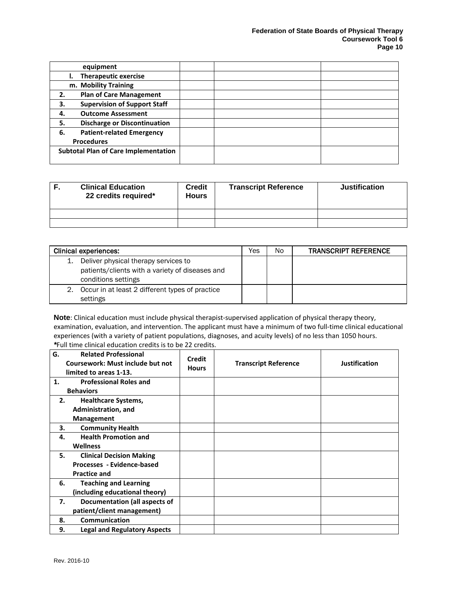| equipment                                   |  |
|---------------------------------------------|--|
| <b>Therapeutic exercise</b>                 |  |
| m. Mobility Training                        |  |
| <b>Plan of Care Management</b><br>2.        |  |
| <b>Supervision of Support Staff</b><br>3.   |  |
| <b>Outcome Assessment</b><br>4.             |  |
| <b>Discharge or Discontinuation</b><br>5.   |  |
| <b>Patient-related Emergency</b><br>6.      |  |
| <b>Procedures</b>                           |  |
| <b>Subtotal Plan of Care Implementation</b> |  |
|                                             |  |

| <b>Clinical Education</b><br>22 credits required* | <b>Credit</b><br><b>Hours</b> | <b>Transcript Reference</b> | <b>Justification</b> |
|---------------------------------------------------|-------------------------------|-----------------------------|----------------------|
|                                                   |                               |                             |                      |
|                                                   |                               |                             |                      |

| <b>Clinical experiences:</b>                                                                                   | Yes | No. | <b>TRANSCRIPT REFERENCE</b> |
|----------------------------------------------------------------------------------------------------------------|-----|-----|-----------------------------|
| Deliver physical therapy services to<br>patients/clients with a variety of diseases and<br>conditions settings |     |     |                             |
| Occur in at least 2 different types of practice<br>settings                                                    |     |     |                             |

**Note**: Clinical education must include physical therapist-supervised application of physical therapy theory, examination, evaluation, and intervention. The applicant must have a minimum of two full-time clinical educational experiences (with a variety of patient populations, diagnoses, and acuity levels) of no less than 1050 hours. *\**Full time clinical education credits is to be 22 credits.

| G. | <b>Related Professional</b><br><b>Coursework: Must include but not</b><br>limited to areas 1-13. | <b>Credit</b><br><b>Hours</b> | <b>Transcript Reference</b> | <b>Justification</b> |
|----|--------------------------------------------------------------------------------------------------|-------------------------------|-----------------------------|----------------------|
| 1. | <b>Professional Roles and</b>                                                                    |                               |                             |                      |
|    | <b>Behaviors</b>                                                                                 |                               |                             |                      |
| 2. | <b>Healthcare Systems,</b>                                                                       |                               |                             |                      |
|    | Administration, and                                                                              |                               |                             |                      |
|    | Management                                                                                       |                               |                             |                      |
| 3. | <b>Community Health</b>                                                                          |                               |                             |                      |
| 4. | <b>Health Promotion and</b>                                                                      |                               |                             |                      |
|    | <b>Wellness</b>                                                                                  |                               |                             |                      |
| 5. | <b>Clinical Decision Making</b>                                                                  |                               |                             |                      |
|    | Processes - Evidence-based                                                                       |                               |                             |                      |
|    | <b>Practice and</b>                                                                              |                               |                             |                      |
| 6. | <b>Teaching and Learning</b>                                                                     |                               |                             |                      |
|    | (including educational theory)                                                                   |                               |                             |                      |
| 7. | Documentation (all aspects of                                                                    |                               |                             |                      |
|    | patient/client management)                                                                       |                               |                             |                      |
| 8. | Communication                                                                                    |                               |                             |                      |
| 9. | <b>Legal and Regulatory Aspects</b>                                                              |                               |                             |                      |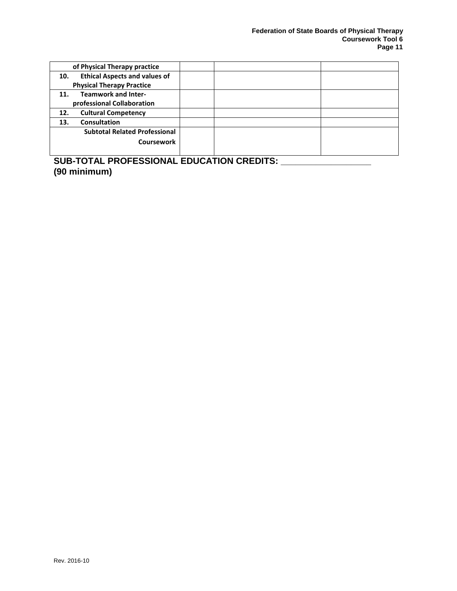| of Physical Therapy practice                |  |
|---------------------------------------------|--|
| <b>Ethical Aspects and values of</b><br>10. |  |
| <b>Physical Therapy Practice</b>            |  |
| <b>Teamwork and Inter-</b><br>11.           |  |
| professional Collaboration                  |  |
| <b>Cultural Competency</b><br>12.           |  |
| <b>Consultation</b><br>13.                  |  |
| <b>Subtotal Related Professional</b>        |  |
| <b>Coursework</b>                           |  |
|                                             |  |

**SUB-TOTAL PROFESSIONAL EDUCATION CREDITS: \_\_\_\_\_\_\_\_\_\_\_\_\_\_\_\_\_\_ (90 minimum)**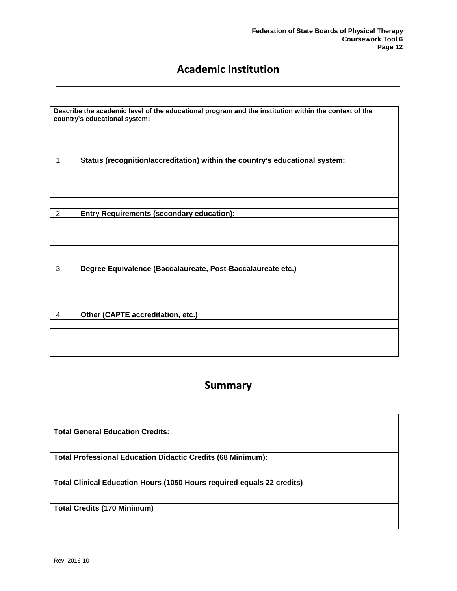## <span id="page-13-0"></span>**Academic Institution \_\_\_\_\_\_\_\_\_\_\_\_\_\_\_\_\_\_\_\_\_\_\_\_\_\_\_\_\_\_\_\_\_\_\_\_\_\_\_\_\_\_\_\_\_\_\_\_\_\_\_\_\_\_\_\_\_\_\_\_\_\_\_\_**

|    | country's educational system:                                               |
|----|-----------------------------------------------------------------------------|
| 1. | Status (recognition/accreditation) within the country's educational system: |
| 2. | <b>Entry Requirements (secondary education):</b>                            |
|    |                                                                             |
| 3. | Degree Equivalence (Baccalaureate, Post-Baccalaureate etc.)                 |
| 4. | Other (CAPTE accreditation, etc.)                                           |
|    |                                                                             |

## <span id="page-13-1"></span>**Summary \_\_\_\_\_\_\_\_\_\_\_\_\_\_\_\_\_\_\_\_\_\_\_\_\_\_\_\_\_\_\_\_\_\_\_\_\_\_\_\_\_\_\_\_\_\_\_\_\_\_\_\_\_\_\_\_\_\_\_\_\_\_\_\_**

| <b>Total General Education Credits:</b>                                       |  |
|-------------------------------------------------------------------------------|--|
|                                                                               |  |
| <b>Total Professional Education Didactic Credits (68 Minimum):</b>            |  |
|                                                                               |  |
| <b>Total Clinical Education Hours (1050 Hours required equals 22 credits)</b> |  |
|                                                                               |  |
| <b>Total Credits (170 Minimum)</b>                                            |  |
|                                                                               |  |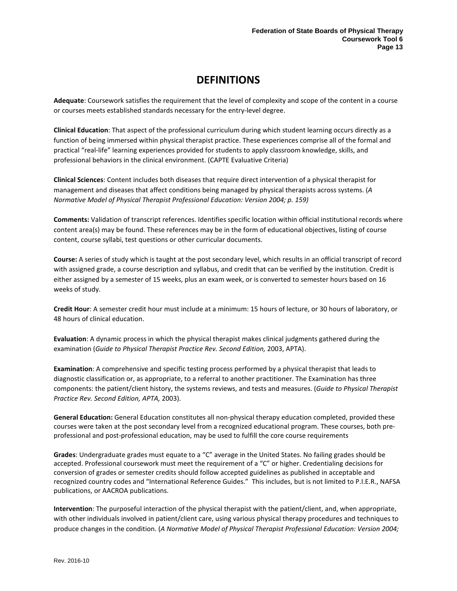## **DEFINITIONS**

<span id="page-14-0"></span>**Adequate**: Coursework satisfies the requirement that the level of complexity and scope of the content in a course or courses meets established standards necessary for the entry-level degree.

**Clinical Education**: That aspect of the professional curriculum during which student learning occurs directly as a function of being immersed within physical therapist practice. These experiences comprise all of the formal and practical "real-life" learning experiences provided for students to apply classroom knowledge, skills, and professional behaviors in the clinical environment. (CAPTE Evaluative Criteria)

**Clinical Sciences**: Content includes both diseases that require direct intervention of a physical therapist for management and diseases that affect conditions being managed by physical therapists across systems. (*A Normative Model of Physical Therapist Professional Education: Version 2004; p. 159)*

**Comments:** Validation of transcript references. Identifies specific location within official institutional records where content area(s) may be found. These references may be in the form of educational objectives, listing of course content, course syllabi, test questions or other curricular documents.

**Course:** A series of study which is taught at the post secondary level, which results in an official transcript of record with assigned grade, a course description and syllabus, and credit that can be verified by the institution. Credit is either assigned by a semester of 15 weeks, plus an exam week, or is converted to semester hours based on 16 weeks of study.

**Credit Hour**: A semester credit hour must include at a minimum: 15 hours of lecture, or 30 hours of laboratory, or 48 hours of clinical education.

**Evaluation**: A dynamic process in which the physical therapist makes clinical judgments gathered during the examination (*Guide to Physical Therapist Practice Rev. Second Edition,* 2003, APTA).

**Examination**: A comprehensive and specific testing process performed by a physical therapist that leads to diagnostic classification or, as appropriate, to a referral to another practitioner. The Examination has three components: the patient/client history, the systems reviews, and tests and measures. (*Guide to Physical Therapist Practice Rev. Second Edition, APTA,* 2003).

**General Education:** General Education constitutes all non-physical therapy education completed, provided these courses were taken at the post secondary level from a recognized educational program. These courses, both preprofessional and post-professional education, may be used to fulfill the core course requirements

**Grades**: Undergraduate grades must equate to a "C" average in the United States. No failing grades should be accepted. Professional coursework must meet the requirement of a "C" or higher. Credentialing decisions for conversion of grades or semester credits should follow accepted guidelines as published in acceptable and recognized country codes and "International Reference Guides." This includes, but is not limited to P.I.E.R., NAFSA publications, or AACROA publications.

**Intervention**: The purposeful interaction of the physical therapist with the patient/client, and, when appropriate, with other individuals involved in patient/client care, using various physical therapy procedures and techniques to produce changes in the condition. (*A Normative Model of Physical Therapist Professional Education: Version 2004;*